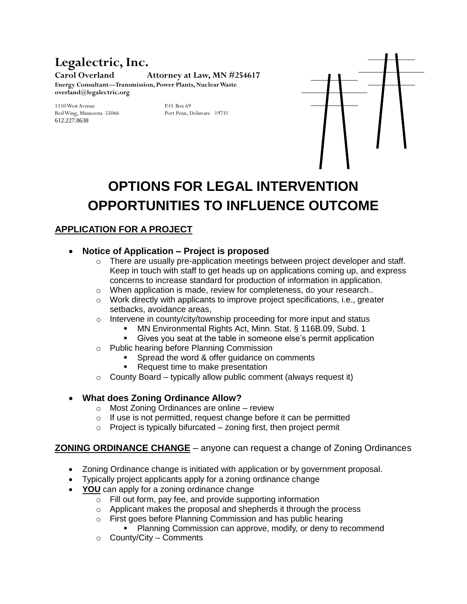# **Legalectric, Inc.**

**Carol Overland Attorney at Law, MN #254617 Energy Consultant—Transmission, Power Plants, Nuclear Waste overland@legalectric.org**

1110 West Avenue P.O. Box 69 Red Wing, Minnesota 55066 612.227.8638



# **OPTIONS FOR LEGAL INTERVENTION OPPORTUNITIES TO INFLUENCE OUTCOME**

## **APPLICATION FOR A PROJECT**

#### **Notice of Application – Project is proposed**

- $\circ$  There are usually pre-application meetings between project developer and staff. Keep in touch with staff to get heads up on applications coming up, and express concerns to increase standard for production of information in application.
- o When application is made, review for completeness, do your research..
- $\circ$  Work directly with applicants to improve project specifications, i.e., greater setbacks, avoidance areas,
- o Intervene in county/city/township proceeding for more input and status
	- MN Environmental Rights Act, Minn. Stat. § 116B.09, Subd. 1
	- Gives you seat at the table in someone else's permit application
- o Public hearing before Planning Commission
	- Spread the word & offer guidance on comments
	- Request time to make presentation
- $\circ$  County Board typically allow public comment (always request it)

### **What does Zoning Ordinance Allow?**

- o Most Zoning Ordinances are online review
- $\circ$  If use is not permitted, request change before it can be permitted
- $\circ$  Project is typically bifurcated zoning first, then project permit

### **ZONING ORDINANCE CHANGE** – anyone can request a change of Zoning Ordinances

- Zoning Ordinance change is initiated with application or by government proposal.
- Typically project applicants apply for a zoning ordinance change
- YOU can apply for a zoning ordinance change
	- o Fill out form, pay fee, and provide supporting information
	- o Applicant makes the proposal and shepherds it through the process
	- o First goes before Planning Commission and has public hearing
		- Planning Commission can approve, modify, or deny to recommend
	- $\circ$  County/City Comments